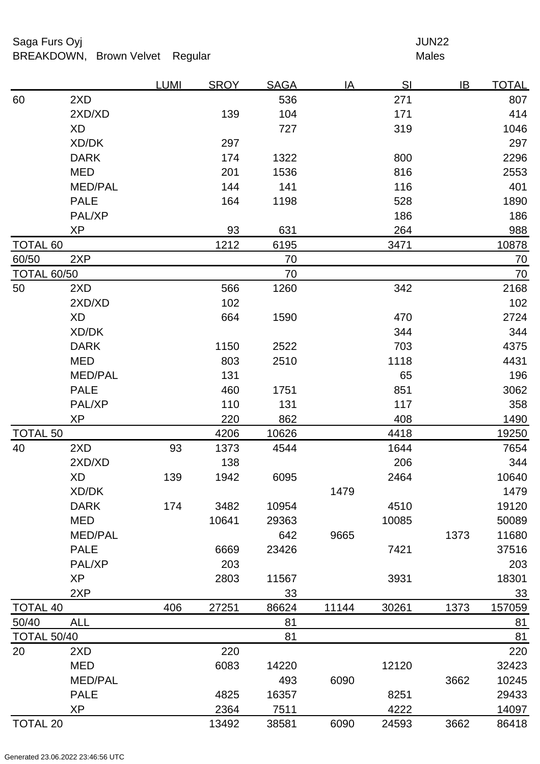## Saga Furs Oyj and the Saga Furs Oyj and the Saga Furs of the Saga Furs of the Saga Furs of the Saga Furs of the Saga Furs of the Saga Furs of the Saga Furs of the Saga Furs of the Saga Furs of the Saga Furs of the Saga Fur BREAKDOWN, Brown Velvet Regular Males

|                    |                | <b>LUMI</b> | <b>SROY</b> | <b>SAGA</b> | IA    | SI    | IB   | <b>TOTAL</b> |
|--------------------|----------------|-------------|-------------|-------------|-------|-------|------|--------------|
| 60                 | 2XD            |             |             | 536         |       | 271   |      | 807          |
|                    | 2XD/XD         |             | 139         | 104         |       | 171   |      | 414          |
|                    | <b>XD</b>      |             |             | 727         |       | 319   |      | 1046         |
|                    | XD/DK          |             | 297         |             |       |       |      | 297          |
|                    | <b>DARK</b>    |             | 174         | 1322        |       | 800   |      | 2296         |
|                    | <b>MED</b>     |             | 201         | 1536        |       | 816   |      | 2553         |
|                    | MED/PAL        |             | 144         | 141         |       | 116   |      | 401          |
|                    | <b>PALE</b>    |             | 164         | 1198        |       | 528   |      | 1890         |
|                    | PAL/XP         |             |             |             |       | 186   |      | 186          |
|                    | <b>XP</b>      |             | 93          | 631         |       | 264   |      | 988          |
| <b>TOTAL 60</b>    |                |             | 1212        | 6195        |       | 3471  |      | 10878        |
| 60/50              | 2XP            |             |             | 70          |       |       |      | 70           |
| <b>TOTAL 60/50</b> |                |             |             | 70          |       |       |      | 70           |
| 50                 | 2XD            |             | 566         | 1260        |       | 342   |      | 2168         |
|                    | 2XD/XD         |             | 102         |             |       |       |      | 102          |
|                    | <b>XD</b>      |             | 664         | 1590        |       | 470   |      | 2724         |
|                    | XD/DK          |             |             |             |       | 344   |      | 344          |
|                    | <b>DARK</b>    |             | 1150        | 2522        |       | 703   |      | 4375         |
|                    | <b>MED</b>     |             | 803         | 2510        |       | 1118  |      | 4431         |
|                    | <b>MED/PAL</b> |             | 131         |             |       | 65    |      | 196          |
|                    | <b>PALE</b>    |             | 460         | 1751        |       | 851   |      | 3062         |
|                    | PAL/XP         |             | 110         | 131         |       | 117   |      | 358          |
|                    | <b>XP</b>      |             | 220         | 862         |       | 408   |      | 1490         |
| <b>TOTAL 50</b>    |                |             | 4206        | 10626       |       | 4418  |      | 19250        |
| 40                 | 2XD            | 93          | 1373        | 4544        |       | 1644  |      | 7654         |
|                    | 2XD/XD         |             | 138         |             |       | 206   |      | 344          |
|                    | XD             | 139         | 1942        | 6095        |       | 2464  |      | 10640        |
|                    | XD/DK          |             |             |             | 1479  |       |      | 1479         |
|                    | <b>DARK</b>    | 174         | 3482        | 10954       |       | 4510  |      | 19120        |
|                    | <b>MED</b>     |             | 10641       | 29363       |       | 10085 |      | 50089        |
|                    | MED/PAL        |             |             | 642         | 9665  |       | 1373 | 11680        |
|                    | <b>PALE</b>    |             | 6669        | 23426       |       | 7421  |      | 37516        |
|                    | PAL/XP         |             | 203         |             |       |       |      | 203          |
|                    | <b>XP</b>      |             | 2803        | 11567       |       | 3931  |      | 18301        |
|                    | 2XP            |             |             | 33          |       |       |      | 33           |
| <b>TOTAL 40</b>    |                | 406         | 27251       | 86624       | 11144 | 30261 | 1373 | 157059       |
| 50/40              | <b>ALL</b>     |             |             | 81          |       |       |      | 81           |
| <b>TOTAL 50/40</b> |                |             |             | 81          |       |       |      | 81           |
| 20                 | 2XD            |             | 220         |             |       |       |      | 220          |
|                    | <b>MED</b>     |             | 6083        | 14220       |       | 12120 |      | 32423        |
|                    | <b>MED/PAL</b> |             |             | 493         | 6090  |       | 3662 | 10245        |
|                    | <b>PALE</b>    |             | 4825        | 16357       |       | 8251  |      | 29433        |
|                    | <b>XP</b>      |             | 2364        | 7511        |       | 4222  |      | 14097        |
| <b>TOTAL 20</b>    |                |             | 13492       | 38581       | 6090  | 24593 | 3662 | 86418        |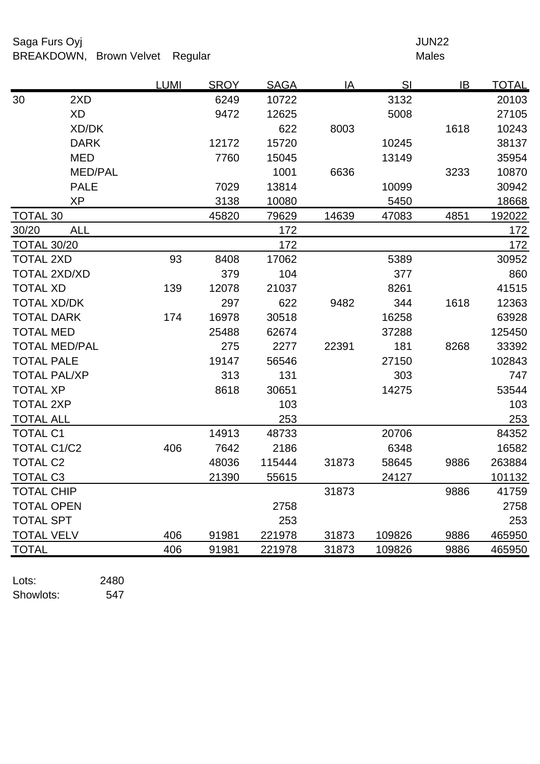# Saga Furs Oyj and the Saga Furs Oyj and the Saga Furs of the Saga Furs of the Saga Furs of the Saga Furs of the Saga Furs of the Saga Furs of the Saga Furs of the Saga Furs of the Saga Furs of the Saga Furs of the Saga Fur BREAKDOWN, Brown Velvet Regular Males

|                     |                      | <b>LUMI</b> | <b>SROY</b> | <b>SAGA</b> | <u>IA</u> | S <sub>l</sub> | $\overline{1}B$ | <u>TOTAL</u> |
|---------------------|----------------------|-------------|-------------|-------------|-----------|----------------|-----------------|--------------|
| 30                  | 2XD                  |             | 6249        | 10722       |           | 3132           |                 | 20103        |
|                     | <b>XD</b>            |             | 9472        | 12625       |           | 5008           |                 | 27105        |
|                     | XD/DK                |             |             | 622         | 8003      |                | 1618            | 10243        |
|                     | <b>DARK</b>          |             | 12172       | 15720       |           | 10245          |                 | 38137        |
|                     | <b>MED</b>           |             | 7760        | 15045       |           | 13149          |                 | 35954        |
|                     | <b>MED/PAL</b>       |             |             | 1001        | 6636      |                | 3233            | 10870        |
|                     | <b>PALE</b>          |             | 7029        | 13814       |           | 10099          |                 | 30942        |
|                     | <b>XP</b>            |             | 3138        | 10080       |           | 5450           |                 | 18668        |
| <b>TOTAL 30</b>     |                      |             | 45820       | 79629       | 14639     | 47083          | 4851            | 192022       |
| 30/20               | <b>ALL</b>           |             |             | 172         |           |                |                 | 172          |
| <b>TOTAL 30/20</b>  |                      |             |             | 172         |           |                |                 | 172          |
| <b>TOTAL 2XD</b>    |                      | 93          | 8408        | 17062       |           | 5389           |                 | 30952        |
|                     | <b>TOTAL 2XD/XD</b>  |             | 379         | 104         |           | 377            |                 | 860          |
| <b>TOTAL XD</b>     |                      | 139         | 12078       | 21037       |           | 8261           |                 | 41515        |
| <b>TOTAL XD/DK</b>  |                      |             | 297         | 622         | 9482      | 344            | 1618            | 12363        |
| <b>TOTAL DARK</b>   |                      | 174         | 16978       | 30518       |           | 16258          |                 | 63928        |
| <b>TOTAL MED</b>    |                      |             | 25488       | 62674       |           | 37288          |                 | 125450       |
|                     | <b>TOTAL MED/PAL</b> |             | 275         | 2277        | 22391     | 181            | 8268            | 33392        |
| <b>TOTAL PALE</b>   |                      |             | 19147       | 56546       |           | 27150          |                 | 102843       |
| <b>TOTAL PAL/XP</b> |                      |             | 313         | 131         |           | 303            |                 | 747          |
| <b>TOTAL XP</b>     |                      |             | 8618        | 30651       |           | 14275          |                 | 53544        |
| <b>TOTAL 2XP</b>    |                      |             |             | 103         |           |                |                 | 103          |
| <b>TOTAL ALL</b>    |                      |             |             | 253         |           |                |                 | 253          |
| <b>TOTAL C1</b>     |                      |             | 14913       | 48733       |           | 20706          |                 | 84352        |
| <b>TOTAL C1/C2</b>  |                      | 406         | 7642        | 2186        |           | 6348           |                 | 16582        |
| <b>TOTAL C2</b>     |                      |             | 48036       | 115444      | 31873     | 58645          | 9886            | 263884       |
| <b>TOTAL C3</b>     |                      |             | 21390       | 55615       |           | 24127          |                 | 101132       |
| <b>TOTAL CHIP</b>   |                      |             |             |             | 31873     |                | 9886            | 41759        |
| <b>TOTAL OPEN</b>   |                      |             |             | 2758        |           |                |                 | 2758         |
| <b>TOTAL SPT</b>    |                      |             |             | 253         |           |                |                 | 253          |
| <b>TOTAL VELV</b>   |                      | 406         | 91981       | 221978      | 31873     | 109826         | 9886            | 465950       |
| <b>TOTAL</b>        |                      | 406         | 91981       | 221978      | 31873     | 109826         | 9886            | 465950       |

Lots: 2480 Showlots: 547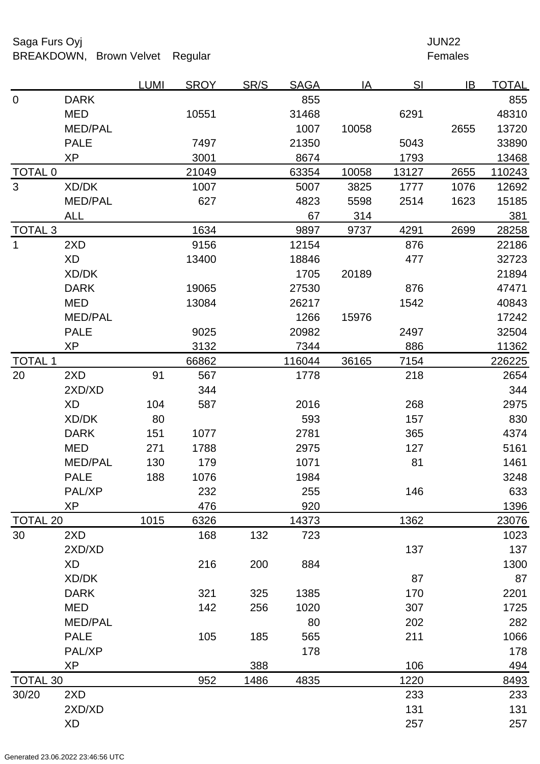## Saga Furs Oyj and the Saga Furs Oyj and the Saga Furs of the Saga Furs of the Saga Furs of the Saga Furs of the Saga Furs of the Saga Furs of the Saga Furs of the Saga Furs of the Saga Furs of the Saga Furs of the Saga Fur BREAKDOWN, Brown Velvet Regular Females

|                    |                | <b>LUMI</b> | <b>SROY</b> | SR/S | <b>SAGA</b> | <u>IA</u> | S <sub>l</sub> | IB   | <u>TOTAL</u> |
|--------------------|----------------|-------------|-------------|------|-------------|-----------|----------------|------|--------------|
| $\mathbf 0$        | <b>DARK</b>    |             |             |      | 855         |           |                |      | 855          |
|                    | <b>MED</b>     |             | 10551       |      | 31468       |           | 6291           |      | 48310        |
|                    | <b>MED/PAL</b> |             |             |      | 1007        | 10058     |                | 2655 | 13720        |
|                    | <b>PALE</b>    |             | 7497        |      | 21350       |           | 5043           |      | 33890        |
|                    | <b>XP</b>      |             | 3001        |      | 8674        |           | 1793           |      | 13468        |
| <b>TOTAL 0</b>     |                |             | 21049       |      | 63354       | 10058     | 13127          | 2655 | 110243       |
| 3                  | XD/DK          |             | 1007        |      | 5007        | 3825      | 1777           | 1076 | 12692        |
|                    | <b>MED/PAL</b> |             | 627         |      | 4823        | 5598      | 2514           | 1623 | 15185        |
|                    | <u>ALL</u>     |             |             |      | 67          | 314       |                |      | 381          |
| TOTAL <sub>3</sub> |                |             | 1634        |      | 9897        | 9737      | 4291           | 2699 | 28258        |
| $\mathbf{1}$       | 2XD            |             | 9156        |      | 12154       |           | 876            |      | 22186        |
|                    | <b>XD</b>      |             | 13400       |      | 18846       |           | 477            |      | 32723        |
|                    | XD/DK          |             |             |      | 1705        | 20189     |                |      | 21894        |
|                    | <b>DARK</b>    |             | 19065       |      | 27530       |           | 876            |      | 47471        |
|                    | <b>MED</b>     |             | 13084       |      | 26217       |           | 1542           |      | 40843        |
|                    | <b>MED/PAL</b> |             |             |      | 1266        | 15976     |                |      | 17242        |
|                    | <b>PALE</b>    |             | 9025        |      | 20982       |           | 2497           |      | 32504        |
|                    | <b>XP</b>      |             | 3132        |      | 7344        |           | 886            |      | 11362        |
| <b>TOTAL 1</b>     |                |             | 66862       |      | 116044      | 36165     | 7154           |      | 226225       |
| 20                 | 2XD            | 91          | 567         |      | 1778        |           | 218            |      | 2654         |
|                    | 2XD/XD         |             | 344         |      |             |           |                |      | 344          |
|                    | XD             | 104         | 587         |      | 2016        |           | 268            |      | 2975         |
|                    | XD/DK          | 80          |             |      | 593         |           | 157            |      | 830          |
|                    | <b>DARK</b>    | 151         | 1077        |      | 2781        |           | 365            |      | 4374         |
|                    | <b>MED</b>     | 271         | 1788        |      | 2975        |           | 127            |      | 5161         |
|                    | <b>MED/PAL</b> | 130         | 179         |      | 1071        |           | 81             |      | 1461         |
|                    | <b>PALE</b>    | 188         | 1076        |      | 1984        |           |                |      | 3248         |
|                    | PAL/XP         |             | 232         |      | 255         |           | 146            |      | 633          |
|                    | <b>XP</b>      |             | 476         |      | 920         |           |                |      | 1396         |
| <b>TOTAL 20</b>    |                | 1015        | 6326        |      | 14373       |           | 1362           |      | 23076        |
| 30                 | 2XD            |             | 168         | 132  | 723         |           |                |      | 1023         |
|                    | 2XD/XD         |             |             |      |             |           | 137            |      | 137          |
|                    | <b>XD</b>      |             | 216         | 200  | 884         |           |                |      | 1300         |
|                    | XD/DK          |             |             |      |             |           | 87             |      | 87           |
|                    | <b>DARK</b>    |             | 321         | 325  | 1385        |           | 170            |      | 2201         |
|                    | <b>MED</b>     |             | 142         | 256  | 1020        |           | 307            |      | 1725         |
|                    | <b>MED/PAL</b> |             |             |      | 80          |           | 202            |      | 282          |
|                    | <b>PALE</b>    |             | 105         | 185  | 565         |           | 211            |      | 1066         |
|                    | PAL/XP         |             |             |      | 178         |           |                |      | 178          |
|                    | <b>XP</b>      |             |             | 388  |             |           | 106            |      | 494          |
| <b>TOTAL 30</b>    |                |             | 952         | 1486 | 4835        |           | 1220           |      | 8493         |
| 30/20              | 2XD            |             |             |      |             |           | 233            |      | 233          |
|                    | 2XD/XD         |             |             |      |             |           | 131            |      | 131          |
|                    | <b>XD</b>      |             |             |      |             |           | 257            |      | 257          |